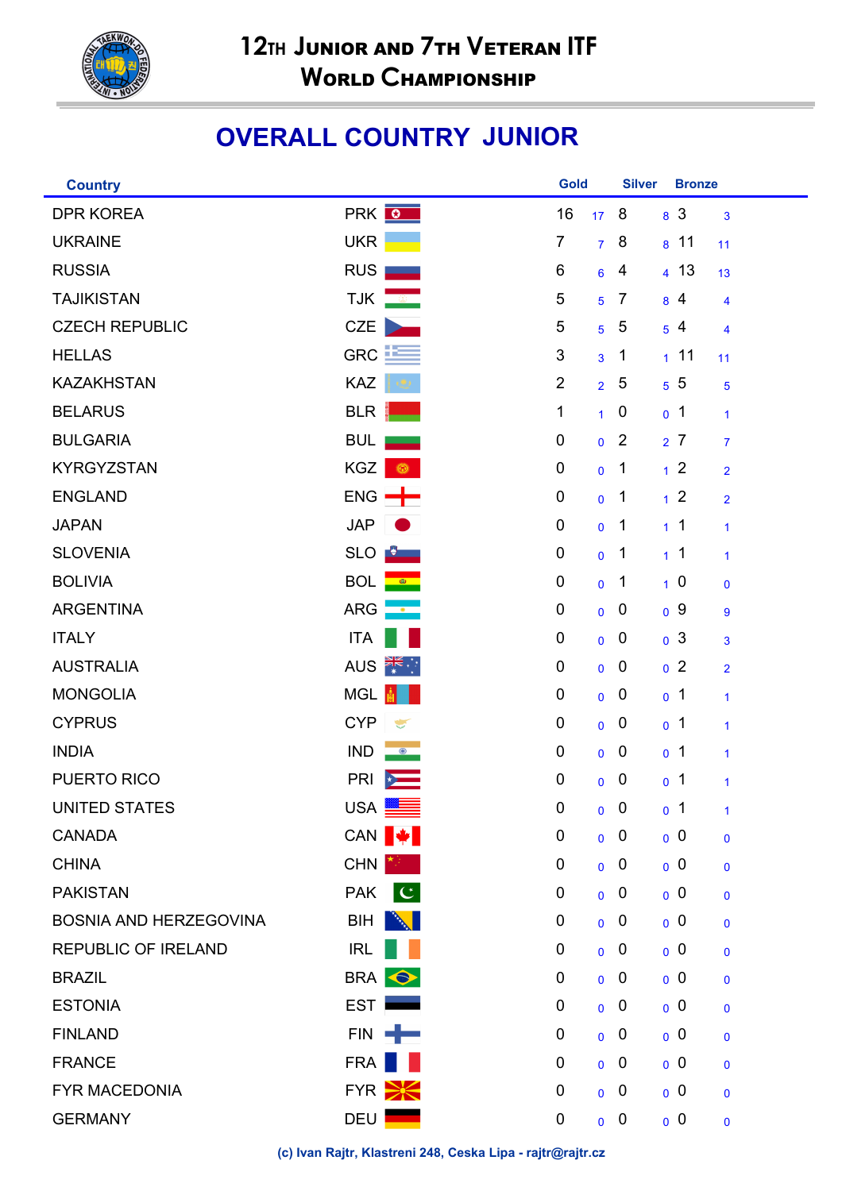

## **OVERALL COUNTRY JUNIOR**

| <b>Country</b>             |                                     | <b>Gold</b>    |                 | <b>Silver</b>    | <b>Bronze</b>   |                |
|----------------------------|-------------------------------------|----------------|-----------------|------------------|-----------------|----------------|
| <b>DPR KOREA</b>           | PRK O                               | 16             | 17 <sup>2</sup> | 8                | 8 <sup>3</sup>  | $\mathbf{3}$   |
| <b>UKRAINE</b>             | <b>UKR</b>                          | $\overline{7}$ | $\overline{7}$  | 8                | 8 <sup>11</sup> | 11             |
| <b>RUSSIA</b>              | <b>RUS</b>                          | 6              | 6               | 4                | $4 \; 13$       | 13             |
| <b>TAJIKISTAN</b>          | <b>TJK</b>                          | 5              | 5               | $\overline{7}$   | 84              | 4              |
| <b>CZECH REPUBLIC</b>      | <b>CZE</b>                          | 5              | 5               | 5                | 54              | $\overline{4}$ |
| <b>HELLAS</b>              | $GRC$ $\equiv$                      | $\sqrt{3}$     | 3               | 1                | 11              | 11             |
| <b>KAZAKHSTAN</b>          | KAZ                                 | $\overline{2}$ | $\overline{2}$  | 5                | $5\,5$          | $\overline{5}$ |
| <b>BELARUS</b>             | <b>BLR</b>                          | 1              | $\mathbf{1}$    | $\boldsymbol{0}$ | 0 <sup>1</sup>  | 1              |
| <b>BULGARIA</b>            | <b>BUL</b>                          | 0              | $\mathbf 0$     | 2                | 2 <sup>7</sup>  | $\overline{7}$ |
| <b>KYRGYZSTAN</b>          | KGZ<br>Ô,                           | 0              | $\pmb{0}$       | $\mathbf{1}$     | 1 <sup>2</sup>  | $\overline{2}$ |
| <b>ENGLAND</b>             | $ENG$ $\rightarrow$                 | $\pmb{0}$      | $\pmb{0}$       | $\mathbf 1$      | 1 <sup>2</sup>  | $\overline{2}$ |
| <b>JAPAN</b>               | <b>JAP</b>                          | 0              | $\pmb{0}$       | 1                | 1 <sup>1</sup>  | 1              |
| <b>SLOVENIA</b>            | <b>SLO</b>                          | 0              | $\pmb{0}$       | $\mathbf{1}$     | 1 <sup>1</sup>  | $\mathbf{1}$   |
| <b>BOLIVIA</b>             | <b>BOL</b><br>- 60 -                | 0              | $\pmb{0}$       | $\mathbf{1}$     | 10              | $\mathbf 0$    |
| <b>ARGENTINA</b>           | <b>ARG</b>                          | 0              | $\mathbf 0$     | $\boldsymbol{0}$ | 0 <sup>9</sup>  | 9              |
| <b>ITALY</b>               | <b>ITA</b>                          | 0              | $\mathbf 0$     | $\mathbf 0$      | 0 <sup>3</sup>  | 3              |
| <b>AUSTRALIA</b>           | AUS <b>Fig.</b>                     | 0              | $\mathbf 0$     | $\mathbf 0$      | 0 <sup>2</sup>  | $\overline{2}$ |
| <b>MONGOLIA</b>            | <b>MGL</b>                          | 0              | $\mathbf 0$     | $\boldsymbol{0}$ | 0 <sup>1</sup>  | 1              |
| <b>CYPRUS</b>              | <b>CYP</b><br>$\blacktriangleright$ | 0              | $\mathbf 0$     | $\mathbf 0$      | 0 <sup>1</sup>  | 1              |
| <b>INDIA</b>               | <b>IND</b><br>$\bullet$             | 0              | $\mathbf 0$     | $\mathbf 0$      | 0 <sup>1</sup>  | $\mathbf{1}$   |
| PUERTO RICO                | <b>PRI</b>                          | $\pmb{0}$      | $\overline{0}$  | $\boldsymbol{0}$ | 0 <sup>1</sup>  | $\mathbf{1}$   |
| <b>UNITED STATES</b>       | <b>USA</b>                          | 0              | $\overline{0}$  | $\overline{0}$   | 0 <sup>1</sup>  | $\overline{1}$ |
| <b>CANADA</b>              | CAN <sup>↓</sup>                    | 0              | $\overline{0}$  | $\boldsymbol{0}$ | 0 <sup>0</sup>  | $\mathbf 0$    |
| <b>CHINA</b>               | <b>CHN</b>                          | 0              | $\mathbf 0$     | $\boldsymbol{0}$ | 0 <sup>0</sup>  | $\mathbf 0$    |
| <b>PAKISTAN</b>            | <b>PAK</b><br>$ \mathbf{C} $        | 0              | $\overline{0}$  | $\mathbf 0$      | 0 <sup>0</sup>  | $\mathbf{0}$   |
| BOSNIA AND HERZEGOVINA     | <b>BIH</b>                          | 0              | $\mathbf 0$     | $\mathbf 0$      | 0 <sup>0</sup>  | $\mathbf{0}$   |
| <b>REPUBLIC OF IRELAND</b> | <b>IRL</b>                          | 0              | $\mathbf 0$     | $\boldsymbol{0}$ | 0 <sup>0</sup>  | $\mathbf 0$    |
| <b>BRAZIL</b>              | BRA <b>O</b>                        | 0              | $\overline{0}$  | $\mathbf 0$      | 0 <sup>0</sup>  | $\mathbf{0}$   |
| <b>ESTONIA</b>             | <b>EST</b>                          | 0              | $\mathbf 0$     | $\mathbf 0$      | 0 <sup>0</sup>  | $\mathbf{0}$   |
| <b>FINLAND</b>             | FIN <b>-</b>                        | $\mathbf 0$    | $\mathbf 0$     | $\mathbf 0$      | 0 <sup>0</sup>  | $\mathbf 0$    |
| <b>FRANCE</b>              | FRA                                 | 0              | $\mathbf{0}$    | $\mathbf 0$      | 0 <sup>0</sup>  | $\mathbf{0}$   |
| <b>FYR MACEDONIA</b>       | FYR <b>EXE</b>                      | 0              | $\overline{0}$  | $\mathbf 0$      | 0 <sup>0</sup>  | $\mathbf 0$    |
| <b>GERMANY</b>             | DEU                                 | $\mathbf 0$    | $\overline{0}$  | $\mathbf 0$      | 0 <sup>0</sup>  | $\mathbf 0$    |